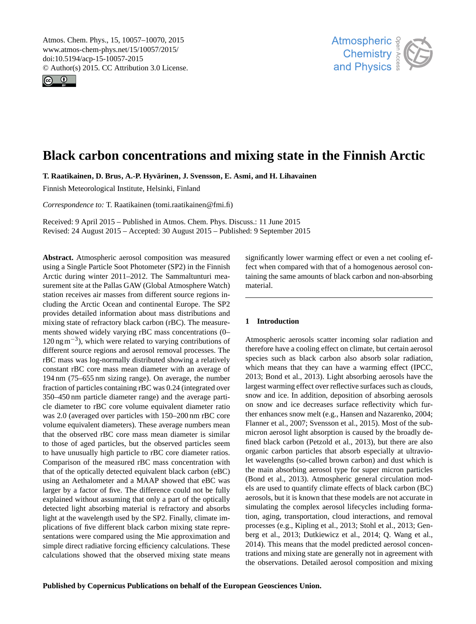<span id="page-0-0"></span>Atmos. Chem. Phys., 15, 10057–10070, 2015 www.atmos-chem-phys.net/15/10057/2015/ doi:10.5194/acp-15-10057-2015 © Author(s) 2015. CC Attribution 3.0 License.





# **Black carbon concentrations and mixing state in the Finnish Arctic**

**T. Raatikainen, D. Brus, A.-P. Hyvärinen, J. Svensson, E. Asmi, and H. Lihavainen**

Finnish Meteorological Institute, Helsinki, Finland

*Correspondence to:* T. Raatikainen (tomi.raatikainen@fmi.fi)

Received: 9 April 2015 – Published in Atmos. Chem. Phys. Discuss.: 11 June 2015 Revised: 24 August 2015 – Accepted: 30 August 2015 – Published: 9 September 2015

**Abstract.** Atmospheric aerosol composition was measured using a Single Particle Soot Photometer (SP2) in the Finnish Arctic during winter 2011–2012. The Sammaltunturi measurement site at the Pallas GAW (Global Atmosphere Watch) station receives air masses from different source regions including the Arctic Ocean and continental Europe. The SP2 provides detailed information about mass distributions and mixing state of refractory black carbon (rBC). The measurements showed widely varying rBC mass concentrations (0– 120 ng m−<sup>3</sup> ), which were related to varying contributions of different source regions and aerosol removal processes. The rBC mass was log-normally distributed showing a relatively constant rBC core mass mean diameter with an average of 194 nm (75–655 nm sizing range). On average, the number fraction of particles containing rBC was 0.24 (integrated over 350–450 nm particle diameter range) and the average particle diameter to rBC core volume equivalent diameter ratio was 2.0 (averaged over particles with 150–200 nm rBC core volume equivalent diameters). These average numbers mean that the observed rBC core mass mean diameter is similar to those of aged particles, but the observed particles seem to have unusually high particle to rBC core diameter ratios. Comparison of the measured rBC mass concentration with that of the optically detected equivalent black carbon (eBC) using an Aethalometer and a MAAP showed that eBC was larger by a factor of five. The difference could not be fully explained without assuming that only a part of the optically detected light absorbing material is refractory and absorbs light at the wavelength used by the SP2. Finally, climate implications of five different black carbon mixing state representations were compared using the Mie approximation and simple direct radiative forcing efficiency calculations. These calculations showed that the observed mixing state means

significantly lower warming effect or even a net cooling effect when compared with that of a homogenous aerosol containing the same amounts of black carbon and non-absorbing material.

# **1 Introduction**

Atmospheric aerosols scatter incoming solar radiation and therefore have a cooling effect on climate, but certain aerosol species such as black carbon also absorb solar radiation, which means that they can have a warming effect [\(IPCC,](#page-11-0) [2013;](#page-11-0) [Bond et al.,](#page-10-0) [2013\)](#page-10-0). Light absorbing aerosols have the largest warming effect over reflective surfaces such as clouds, snow and ice. In addition, deposition of absorbing aerosols on snow and ice decreases surface reflectivity which further enhances snow melt (e.g., [Hansen and Nazarenko,](#page-11-1) [2004;](#page-11-1) [Flanner et al.,](#page-11-2) [2007;](#page-11-2) [Svensson et al.,](#page-13-0) [2015\)](#page-13-0). Most of the submicron aerosol light absorption is caused by the broadly defined black carbon [\(Petzold et al.,](#page-12-0) [2013\)](#page-12-0), but there are also organic carbon particles that absorb especially at ultraviolet wavelengths (so-called brown carbon) and dust which is the main absorbing aerosol type for super micron particles [\(Bond et al.,](#page-10-0) [2013\)](#page-10-0). Atmospheric general circulation models are used to quantify climate effects of black carbon (BC) aerosols, but it is known that these models are not accurate in simulating the complex aerosol lifecycles including formation, aging, transportation, cloud interactions, and removal processes (e.g., [Kipling et al.,](#page-11-3) [2013;](#page-11-3) [Stohl et al.,](#page-13-1) [2013;](#page-13-1) [Gen](#page-11-4)[berg et al.,](#page-11-4) [2013;](#page-11-4) [Dutkiewicz et al.,](#page-11-5) [2014;](#page-11-5) [Q. Wang et al.,](#page-13-2) [2014\)](#page-13-2). This means that the model predicted aerosol concentrations and mixing state are generally not in agreement with the observations. Detailed aerosol composition and mixing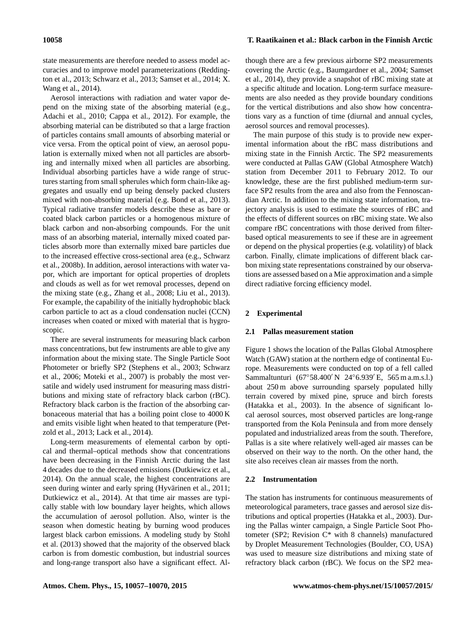state measurements are therefore needed to assess model accuracies and to improve model parameterizations [\(Redding](#page-12-1)[ton et al.,](#page-12-1) [2013;](#page-12-1) [Schwarz et al.,](#page-12-2) [2013;](#page-12-2) [Samset et al.,](#page-12-3) [2014;](#page-12-3) [X.](#page-13-3) [Wang et al.,](#page-13-3) [2014\)](#page-13-3).

Aerosol interactions with radiation and water vapor depend on the mixing state of the absorbing material (e.g., [Adachi et al.,](#page-10-1) [2010;](#page-10-1) [Cappa et al.,](#page-10-2) [2012\)](#page-10-2). For example, the absorbing material can be distributed so that a large fraction of particles contains small amounts of absorbing material or vice versa. From the optical point of view, an aerosol population is externally mixed when not all particles are absorbing and internally mixed when all particles are absorbing. Individual absorbing particles have a wide range of structures starting from small spherules which form chain-like aggregates and usually end up being densely packed clusters mixed with non-absorbing material (e.g. [Bond et al.,](#page-10-0) [2013\)](#page-10-0). Typical radiative transfer models describe these as bare or coated black carbon particles or a homogenous mixture of black carbon and non-absorbing compounds. For the unit mass of an absorbing material, internally mixed coated particles absorb more than externally mixed bare particles due to the increased effective cross-sectional area (e.g., [Schwarz](#page-12-4) [et al.,](#page-12-4) [2008b\)](#page-12-4). In addition, aerosol interactions with water vapor, which are important for optical properties of droplets and clouds as well as for wet removal processes, depend on the mixing state (e.g., [Zhang et al.,](#page-13-4) [2008;](#page-13-4) [Liu et al.,](#page-12-5) [2013\)](#page-12-5). For example, the capability of the initially hydrophobic black carbon particle to act as a cloud condensation nuclei (CCN) increases when coated or mixed with material that is hygroscopic.

There are several instruments for measuring black carbon mass concentrations, but few instruments are able to give any information about the mixing state. The Single Particle Soot Photometer or briefly SP2 [\(Stephens et al.,](#page-13-5) [2003;](#page-13-5) [Schwarz](#page-12-6) [et al.,](#page-12-6) [2006;](#page-12-6) [Moteki et al.,](#page-12-7) [2007\)](#page-12-7) is probably the most versatile and widely used instrument for measuring mass distributions and mixing state of refractory black carbon (rBC). Refractory black carbon is the fraction of the absorbing carbonaceous material that has a boiling point close to 4000 K and emits visible light when heated to that temperature [\(Pet](#page-12-0)[zold et al.,](#page-12-0) [2013;](#page-12-0) [Lack et al.,](#page-11-6) [2014\)](#page-11-6).

Long-term measurements of elemental carbon by optical and thermal–optical methods show that concentrations have been decreasing in the Finnish Arctic during the last 4 decades due to the decreased emissions [\(Dutkiewicz et al.,](#page-11-5) [2014\)](#page-11-5). On the annual scale, the highest concentrations are seen during winter and early spring [\(Hyvärinen et al.,](#page-11-7) [2011;](#page-11-7) [Dutkiewicz et al.,](#page-11-5) [2014\)](#page-11-5). At that time air masses are typically stable with low boundary layer heights, which allows the accumulation of aerosol pollution. Also, winter is the season when domestic heating by burning wood produces largest black carbon emissions. A modeling study by [Stohl](#page-13-1) [et al.](#page-13-1) [\(2013\)](#page-13-1) showed that the majority of the observed black carbon is from domestic combustion, but industrial sources and long-range transport also have a significant effect. Al-

# **10058 T. Raatikainen et al.: Black carbon in the Finnish Arctic**

though there are a few previous airborne SP2 measurements covering the Arctic (e.g., [Baumgardner et al.,](#page-10-3) [2004;](#page-10-3) [Samset](#page-12-3) [et al.,](#page-12-3) [2014\)](#page-12-3), they provide a snapshot of rBC mixing state at a specific altitude and location. Long-term surface measurements are also needed as they provide boundary conditions for the vertical distributions and also show how concentrations vary as a function of time (diurnal and annual cycles, aerosol sources and removal processes).

The main purpose of this study is to provide new experimental information about the rBC mass distributions and mixing state in the Finnish Arctic. The SP2 measurements were conducted at Pallas GAW (Global Atmosphere Watch) station from December 2011 to February 2012. To our knowledge, these are the first published medium-term surface SP2 results from the area and also from the Fennoscandian Arctic. In addition to the mixing state information, trajectory analysis is used to estimate the sources of rBC and the effects of different sources on rBC mixing state. We also compare rBC concentrations with those derived from filterbased optical measurements to see if these are in agreement or depend on the physical properties (e.g. volatility) of black carbon. Finally, climate implications of different black carbon mixing state representations constrained by our observations are assessed based on a Mie approximation and a simple direct radiative forcing efficiency model.

# **2 Experimental**

# **2.1 Pallas measurement station**

Figure [1](#page-2-0) shows the location of the Pallas Global Atmosphere Watch (GAW) station at the northern edge of continental Europe. Measurements were conducted on top of a fell called Sammaltunturi (67°58.400′ N 24°6.939′ E, 565 m a.m.s.l.) about 250 m above surrounding sparsely populated hilly terrain covered by mixed pine, spruce and birch forests [\(Hatakka et al.,](#page-11-8) [2003\)](#page-11-8). In the absence of significant local aerosol sources, most observed particles are long-range transported from the Kola Peninsula and from more densely populated and industrialized areas from the south. Therefore, Pallas is a site where relatively well-aged air masses can be observed on their way to the north. On the other hand, the site also receives clean air masses from the north.

# <span id="page-1-0"></span>**2.2 Instrumentation**

The station has instruments for continuous measurements of meteorological parameters, trace gasses and aerosol size distributions and optical properties [\(Hatakka et al.,](#page-11-8) [2003\)](#page-11-8). During the Pallas winter campaign, a Single Particle Soot Photometer (SP2; Revision C\* with 8 channels) manufactured by Droplet Measurement Technologies (Boulder, CO, USA) was used to measure size distributions and mixing state of refractory black carbon (rBC). We focus on the SP2 mea-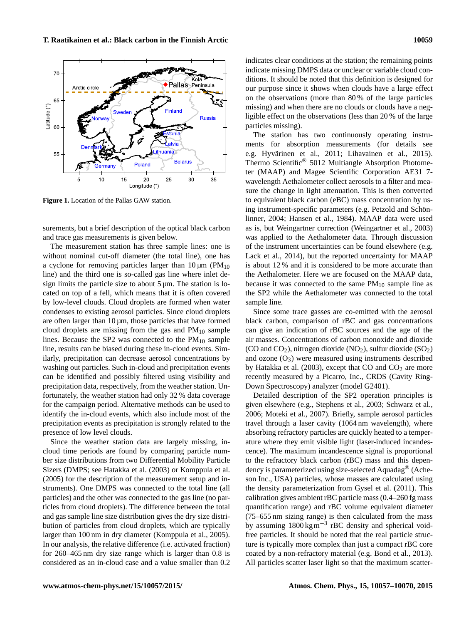<span id="page-2-0"></span>

**Figure 1.** Location of the Pallas GAW station.

surements, but a brief description of the optical black carbon and trace gas measurements is given below.

The measurement station has three sample lines: one is without nominal cut-off diameter (the total line), one has a cyclone for removing particles larger than  $10 \mu m$  (PM<sub>10</sub>) line) and the third one is so-called gas line where inlet design limits the particle size to about 5  $\mu$ m. The station is located on top of a fell, which means that it is often covered by low-level clouds. Cloud droplets are formed when water condenses to existing aerosol particles. Since cloud droplets are often larger than  $10 \mu m$ , those particles that have formed cloud droplets are missing from the gas and  $PM_{10}$  sample lines. Because the SP2 was connected to the  $PM_{10}$  sample line, results can be biased during these in-cloud events. Similarly, precipitation can decrease aerosol concentrations by washing out particles. Such in-cloud and precipitation events can be identified and possibly filtered using visibility and precipitation data, respectively, from the weather station. Unfortunately, the weather station had only 32 % data coverage for the campaign period. Alternative methods can be used to identify the in-cloud events, which also include most of the precipitation events as precipitation is strongly related to the presence of low level clouds.

Since the weather station data are largely missing, incloud time periods are found by comparing particle number size distributions from two Differential Mobility Particle Sizers (DMPS; see [Hatakka et al.](#page-11-8) [\(2003\)](#page-11-8) or [Komppula et al.](#page-11-9) [\(2005\)](#page-11-9) for the description of the measurement setup and instruments). One DMPS was connected to the total line (all particles) and the other was connected to the gas line (no particles from cloud droplets). The difference between the total and gas sample line size distribution gives the dry size distribution of particles from cloud droplets, which are typically larger than 100 nm in dry diameter [\(Komppula et al.,](#page-11-9) [2005\)](#page-11-9). In our analysis, the relative difference (i.e. activated fraction) for 260–465 nm dry size range which is larger than 0.8 is considered as an in-cloud case and a value smaller than 0.2 indicates clear conditions at the station; the remaining points indicate missing DMPS data or unclear or variable cloud conditions. It should be noted that this definition is designed for our purpose since it shows when clouds have a large effect on the observations (more than 80 % of the large particles missing) and when there are no clouds or clouds have a negligible effect on the observations (less than 20 % of the large particles missing).

The station has two continuously operating instruments for absorption measurements (for details see e.g. [Hyvärinen et al.,](#page-11-7) [2011;](#page-11-7) [Lihavainen et al.,](#page-12-8) [2015\)](#page-12-8). Thermo Scientific® 5012 Multiangle Absorption Photometer (MAAP) and Magee Scientific Corporation AE31 7 wavelength Aethalometer collect aerosols to a filter and measure the change in light attenuation. This is then converted to equivalent black carbon (eBC) mass concentration by using instrument-specific parameters (e.g. [Petzold and Schön](#page-12-9)[linner,](#page-12-9) [2004;](#page-12-9) [Hansen et al.,](#page-11-10) [1984\)](#page-11-10). MAAP data were used as is, but Weingartner correction [\(Weingartner et al.,](#page-13-6) [2003\)](#page-13-6) was applied to the Aethalometer data. Through discussion of the instrument uncertainties can be found elsewhere (e.g. [Lack et al.,](#page-11-6) [2014\)](#page-11-6), but the reported uncertainty for MAAP is about 12 % and it is considered to be more accurate than the Aethalometer. Here we are focused on the MAAP data, because it was connected to the same  $PM_{10}$  sample line as the SP2 while the Aethalometer was connected to the total sample line.

Since some trace gasses are co-emitted with the aerosol black carbon, comparison of rBC and gas concentrations can give an indication of rBC sources and the age of the air masses. Concentrations of carbon monoxide and dioxide (CO and CO<sub>2</sub>), nitrogen dioxide (NO<sub>2</sub>), sulfur dioxide (SO<sub>2</sub>) and ozone  $(O_3)$  were measured using instruments described by [Hatakka et al.](#page-11-8) [\(2003\)](#page-11-8), except that  $CO$  and  $CO<sub>2</sub>$  are more recently measured by a Picarro, Inc., CRDS (Cavity Ring-Down Spectroscopy) analyzer (model G2401).

Detailed description of the SP2 operation principles is given elsewhere (e.g., [Stephens et al.,](#page-13-5) [2003;](#page-13-5) [Schwarz et al.,](#page-12-6) [2006;](#page-12-6) [Moteki et al.,](#page-12-7) [2007\)](#page-12-7). Briefly, sample aerosol particles travel through a laser cavity (1064 nm wavelength), where absorbing refractory particles are quickly heated to a temperature where they emit visible light (laser-induced incandescence). The maximum incandescence signal is proportional to the refractory black carbon (rBC) mass and this dependency is parameterized using size-selected Aquadag® (Acheson Inc., USA) particles, whose masses are calculated using the density parameterization from [Gysel et al.](#page-11-11) [\(2011\)](#page-11-11). This calibration gives ambient rBC particle mass (0.4–260 fg mass quantification range) and rBC volume equivalent diameter (75–655 nm sizing range) is then calculated from the mass by assuming 1800 kg m−<sup>3</sup> rBC density and spherical voidfree particles. It should be noted that the real particle structure is typically more complex than just a compact rBC core coated by a non-refractory material (e.g. [Bond et al.,](#page-10-0) [2013\)](#page-10-0). All particles scatter laser light so that the maximum scatter-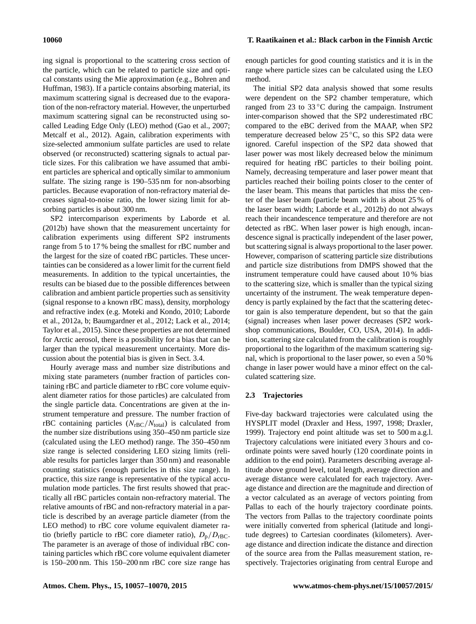ing signal is proportional to the scattering cross section of the particle, which can be related to particle size and optical constants using the Mie approximation (e.g., [Bohren and](#page-10-4) [Huffman,](#page-10-4) [1983\)](#page-10-4). If a particle contains absorbing material, its maximum scattering signal is decreased due to the evaporation of the non-refractory material. However, the unperturbed maximum scattering signal can be reconstructed using socalled Leading Edge Only (LEO) method [\(Gao et al.,](#page-11-12) [2007;](#page-11-12) [Metcalf et al.,](#page-12-10) [2012\)](#page-12-10). Again, calibration experiments with size-selected ammonium sulfate particles are used to relate observed (or reconstructed) scattering signals to actual particle sizes. For this calibration we have assumed that ambient particles are spherical and optically similar to ammonium sulfate. The sizing range is 190–535 nm for non-absorbing particles. Because evaporation of non-refractory material decreases signal-to-noise ratio, the lower sizing limit for absorbing particles is about 300 nm.

SP2 intercomparison experiments by [Laborde et al.](#page-11-13) [\(2012b\)](#page-11-13) have shown that the measurement uncertainty for calibration experiments using different SP2 instruments range from 5 to 17 % being the smallest for rBC number and the largest for the size of coated rBC particles. These uncertainties can be considered as a lower limit for the current field measurements. In addition to the typical uncertainties, the results can be biased due to the possible differences between calibration and ambient particle properties such as sensitivity (signal response to a known rBC mass), density, morphology and refractive index (e.g. [Moteki and Kondo,](#page-12-11) [2010;](#page-12-11) [Laborde](#page-11-14) [et al.,](#page-11-14) [2012a,](#page-11-14) [b;](#page-11-13) [Baumgardner et al.,](#page-10-5) [2012;](#page-10-5) [Lack et al.,](#page-11-6) [2014;](#page-11-6) [Taylor et al.,](#page-13-7) [2015\)](#page-13-7). Since these properties are not determined for Arctic aerosol, there is a possibility for a bias that can be larger than the typical measurement uncertainty. More discussion about the potential bias is given in Sect. [3.4.](#page-7-0)

Hourly average mass and number size distributions and mixing state parameters (number fraction of particles containing rBC and particle diameter to rBC core volume equivalent diameter ratios for those particles) are calculated from the single particle data. Concentrations are given at the instrument temperature and pressure. The number fraction of rBC containing particles  $(N_{\text{rBC}}/N_{\text{total}})$  is calculated from the number size distributions using 350–450 nm particle size (calculated using the LEO method) range. The 350–450 nm size range is selected considering LEO sizing limits (reliable results for particles larger than 350 nm) and reasonable counting statistics (enough particles in this size range). In practice, this size range is representative of the typical accumulation mode particles. The first results showed that practically all rBC particles contain non-refractory material. The relative amounts of rBC and non-refractory material in a particle is described by an average particle diameter (from the LEO method) to rBC core volume equivalent diameter ratio (briefly particle to rBC core diameter ratio),  $D_{\rm p}/D_{\rm rBC}$ . The parameter is an average of those of individual rBC containing particles which rBC core volume equivalent diameter is 150–200 nm. This 150–200 nm rBC core size range has enough particles for good counting statistics and it is in the range where particle sizes can be calculated using the LEO method.

The initial SP2 data analysis showed that some results were dependent on the SP2 chamber temperature, which ranged from 23 to  $33^{\circ}$ C during the campaign. Instrument inter-comparison showed that the SP2 underestimated rBC compared to the eBC derived from the MAAP, when SP2 temperature decreased below 25 ◦C, so this SP2 data were ignored. Careful inspection of the SP2 data showed that laser power was most likely decreased below the minimum required for heating rBC particles to their boiling point. Namely, decreasing temperature and laser power meant that particles reached their boiling points closer to the center of the laser beam. This means that particles that miss the center of the laser beam (particle beam width is about 25 % of the laser beam width; [Laborde et al.,](#page-11-13) [2012b\)](#page-11-13) do not always reach their incandescence temperature and therefore are not detected as rBC. When laser power is high enough, incandescence signal is practically independent of the laser power, but scattering signal is always proportional to the laser power. However, comparison of scattering particle size distributions and particle size distributions from DMPS showed that the instrument temperature could have caused about 10 % bias to the scattering size, which is smaller than the typical sizing uncertainty of the instrument. The weak temperature dependency is partly explained by the fact that the scattering detector gain is also temperature dependent, but so that the gain (signal) increases when laser power decreases (SP2 workshop communications, Boulder, CO, USA, 2014). In addition, scattering size calculated from the calibration is roughly proportional to the logarithm of the maximum scattering signal, which is proportional to the laser power, so even a 50 % change in laser power would have a minor effect on the calculated scattering size.

#### **2.3 Trajectories**

Five-day backward trajectories were calculated using the HYSPLIT model [\(Draxler and Hess,](#page-11-15) [1997,](#page-11-15) [1998;](#page-11-16) [Draxler,](#page-11-17) [1999\)](#page-11-17). Trajectory end point altitude was set to 500 m a.g.l. Trajectory calculations were initiated every 3 hours and coordinate points were saved hourly (120 coordinate points in addition to the end point). Parameters describing average altitude above ground level, total length, average direction and average distance were calculated for each trajectory. Average distance and direction are the magnitude and direction of a vector calculated as an average of vectors pointing from Pallas to each of the hourly trajectory coordinate points. The vectors from Pallas to the trajectory coordinate points were initially converted from spherical (latitude and longitude degrees) to Cartesian coordinates (kilometers). Average distance and direction indicate the distance and direction of the source area from the Pallas measurement station, respectively. Trajectories originating from central Europe and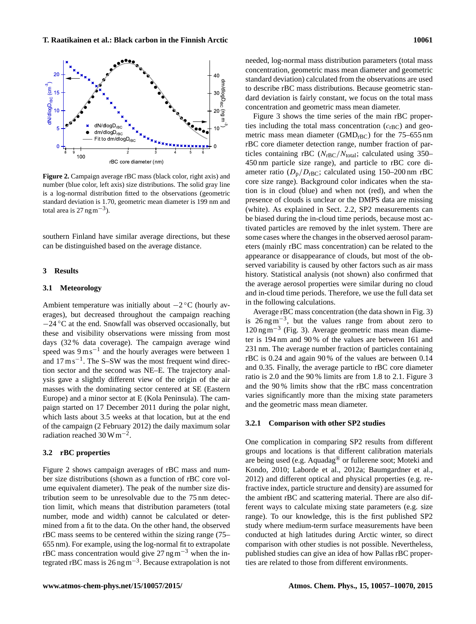<span id="page-4-0"></span>

**Figure 2.** Campaign average rBC mass (black color, right axis) and number (blue color, left axis) size distributions. The solid gray line is a log-normal distribution fitted to the observations (geometric standard deviation is 1.70, geometric mean diameter is 199 nm and total area is  $27 \text{ ng m}^{-3}$ ).

southern Finland have similar average directions, but these can be distinguished based on the average distance.

# **3 Results**

#### **3.1 Meteorology**

Ambient temperature was initially about −2 ◦C (hourly averages), but decreased throughout the campaign reaching −24 ◦C at the end. Snowfall was observed occasionally, but these and visibility observations were missing from most days (32 % data coverage). The campaign average wind speed was 9 m s<sup>-1</sup> and the hourly averages were between 1 and 17 m s<sup>-1</sup>. The S-SW was the most frequent wind direction sector and the second was NE–E. The trajectory analysis gave a slightly different view of the origin of the air masses with the dominating sector centered at SE (Eastern Europe) and a minor sector at E (Kola Peninsula). The campaign started on 17 December 2011 during the polar night, which lasts about 3.5 weeks at that location, but at the end of the campaign (2 February 2012) the daily maximum solar radiation reached  $30 \,\mathrm{W\,m}^{-2}$ .

### **3.2 rBC properties**

Figure [2](#page-4-0) shows campaign averages of rBC mass and number size distributions (shown as a function of rBC core volume equivalent diameter). The peak of the number size distribution seem to be unresolvable due to the 75 nm detection limit, which means that distribution parameters (total number, mode and width) cannot be calculated or determined from a fit to the data. On the other hand, the observed rBC mass seems to be centered within the sizing range (75– 655 nm). For example, using the log-normal fit to extrapolate rBC mass concentration would give  $27$  ng m<sup>-3</sup> when the integrated rBC mass is  $26$  ng m<sup>-3</sup>. Because extrapolation is not

needed, log-normal mass distribution parameters (total mass concentration, geometric mass mean diameter and geometric standard deviation) calculated from the observations are used to describe rBC mass distributions. Because geometric standard deviation is fairly constant, we focus on the total mass concentration and geometric mass mean diameter.

Figure [3](#page-5-0) shows the time series of the main rBC properties including the total mass concentration  $(c_{\text{rBC}})$  and geometric mass mean diameter (GMD<sub>rBC</sub>) for the  $75-655$  nm rBC core diameter detection range, number fraction of particles containing rBC ( $N_{\text{rBC}}/N_{\text{total}}$ ; calculated using 350– 450 nm particle size range), and particle to rBC core diameter ratio  $(D<sub>p</sub>/D<sub>rBC</sub>)$ ; calculated using 150–200 nm rBC core size range). Background color indicates when the station is in cloud (blue) and when not (red), and when the presence of clouds is unclear or the DMPS data are missing (white). As explained in Sect. [2.2,](#page-1-0) SP2 measurements can be biased during the in-cloud time periods, because most activated particles are removed by the inlet system. There are some cases where the changes in the observed aerosol parameters (mainly rBC mass concentration) can be related to the appearance or disappearance of clouds, but most of the observed variability is caused by other factors such as air mass history. Statistical analysis (not shown) also confirmed that the average aerosol properties were similar during no cloud and in-cloud time periods. Therefore, we use the full data set in the following calculations.

Average rBC mass concentration (the data shown in Fig. [3\)](#page-5-0) is 26 ng m−<sup>3</sup> , but the values range from about zero to 120 ng m−<sup>3</sup> (Fig. [3\)](#page-5-0). Average geometric mass mean diameter is 194 nm and 90 % of the values are between 161 and 231 nm. The average number fraction of particles containing rBC is 0.24 and again 90 % of the values are between 0.14 and 0.35. Finally, the average particle to rBC core diameter ratio is 2.0 and the 90 % limits are from 1.8 to 2.1. Figure [3](#page-5-0) and the 90 % limits show that the rBC mass concentration varies significantly more than the mixing state parameters and the geometric mass mean diameter.

#### **3.2.1 Comparison with other SP2 studies**

One complication in comparing SP2 results from different groups and locations is that different calibration materials are being used (e.g. Aquadag $^{\circledR}$  or fullerene soot; [Moteki and](#page-12-11) [Kondo,](#page-12-11) [2010;](#page-12-11) [Laborde et al.,](#page-11-14) [2012a;](#page-11-14) [Baumgardner et al.,](#page-10-5) [2012\)](#page-10-5) and different optical and physical properties (e.g. refractive index, particle structure and density) are assumed for the ambient rBC and scattering material. There are also different ways to calculate mixing state parameters (e.g. size range). To our knowledge, this is the first published SP2 study where medium-term surface measurements have been conducted at high latitudes during Arctic winter, so direct comparison with other studies is not possible. Nevertheless, published studies can give an idea of how Pallas rBC properties are related to those from different environments.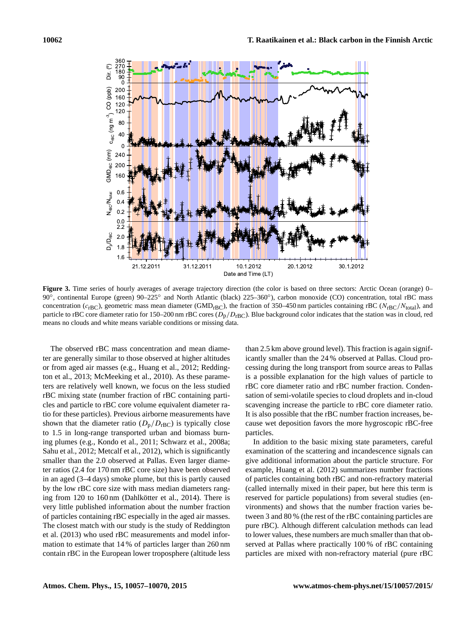<span id="page-5-0"></span>

Figure 3. Time series of hourly averages of average trajectory direction (the color is based on three sectors: Arctic Ocean (orange) 0– 90°, continental Europe (green) 90–225° and North Atlantic (black) 225–360°), carbon monoxide (CO) concentration, total rBC mass concentration ( $c_{rBC}$ ), geometric mass mean diameter (GMD<sub>rBC</sub>), the fraction of 350–450 nm particles containing rBC ( $N_{rBC}/N_{total}$ ), and particle to rBC core diameter ratio for 150–200 nm rBC cores  $(D<sub>p</sub>/D<sub>rBC</sub>)$ . Blue background color indicates that the station was in cloud, red means no clouds and white means variable conditions or missing data.

The observed rBC mass concentration and mean diameter are generally similar to those observed at higher altitudes or from aged air masses (e.g., [Huang et al.,](#page-11-18) [2012;](#page-11-18) [Redding](#page-12-1)[ton et al.,](#page-12-1) [2013;](#page-12-1) [McMeeking et al.,](#page-12-12) [2010\)](#page-12-12). As these parameters are relatively well known, we focus on the less studied rBC mixing state (number fraction of rBC containing particles and particle to rBC core volume equivalent diameter ratio for these particles). Previous airborne measurements have shown that the diameter ratio  $(D_{p}/D_{rBC})$  is typically close to 1.5 in long-range transported urban and biomass burning plumes (e.g., [Kondo et al.,](#page-11-19) [2011;](#page-11-19) [Schwarz et al.,](#page-12-13) [2008a;](#page-12-13) [Sahu et al.,](#page-12-14) [2012;](#page-12-14) [Metcalf et al.,](#page-12-10) [2012\)](#page-12-10), which is significantly smaller than the 2.0 observed at Pallas. Even larger diameter ratios (2.4 for 170 nm rBC core size) have been observed in an aged (3–4 days) smoke plume, but this is partly caused by the low rBC core size with mass median diameters ranging from 120 to 160 nm [\(Dahlkötter et al.,](#page-10-6) [2014\)](#page-10-6). There is very little published information about the number fraction of particles containing rBC especially in the aged air masses. The closest match with our study is the study of [Reddington](#page-12-1) [et al.](#page-12-1) [\(2013\)](#page-12-1) who used rBC measurements and model information to estimate that 14 % of particles larger than 260 nm contain rBC in the European lower troposphere (altitude less than 2.5 km above ground level). This fraction is again significantly smaller than the 24 % observed at Pallas. Cloud processing during the long transport from source areas to Pallas is a possible explanation for the high values of particle to rBC core diameter ratio and rBC number fraction. Condensation of semi-volatile species to cloud droplets and in-cloud scavenging increase the particle to rBC core diameter ratio. It is also possible that the rBC number fraction increases, because wet deposition favors the more hygroscopic rBC-free particles.

In addition to the basic mixing state parameters, careful examination of the scattering and incandescence signals can give additional information about the particle structure. For example, [Huang et al.](#page-11-18) [\(2012\)](#page-11-18) summarizes number fractions of particles containing both rBC and non-refractory material (called internally mixed in their paper, but here this term is reserved for particle populations) from several studies (environments) and shows that the number fraction varies between 3 and 80 % (the rest of the rBC containing particles are pure rBC). Although different calculation methods can lead to lower values, these numbers are much smaller than that observed at Pallas where practically 100 % of rBC containing particles are mixed with non-refractory material (pure rBC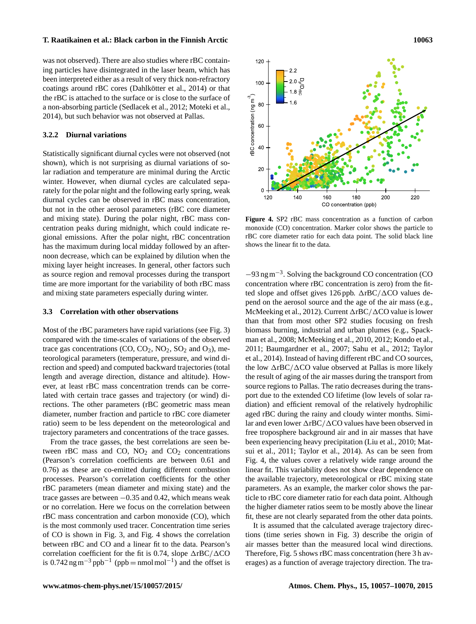was not observed). There are also studies where rBC containing particles have disintegrated in the laser beam, which has been interpreted either as a result of very thick non-refractory coatings around rBC cores [\(Dahlkötter et al.,](#page-10-6) [2014\)](#page-10-6) or that the rBC is attached to the surface or is close to the surface of a non-absorbing particle [\(Sedlacek et al.,](#page-12-15) [2012;](#page-12-15) [Moteki et al.,](#page-12-16) [2014\)](#page-12-16), but such behavior was not observed at Pallas.

# **3.2.2 Diurnal variations**

Statistically significant diurnal cycles were not observed (not shown), which is not surprising as diurnal variations of solar radiation and temperature are minimal during the Arctic winter. However, when diurnal cycles are calculated separately for the polar night and the following early spring, weak diurnal cycles can be observed in rBC mass concentration, but not in the other aerosol parameters (rBC core diameter and mixing state). During the polar night, rBC mass concentration peaks during midnight, which could indicate regional emissions. After the polar night, rBC concentration has the maximum during local midday followed by an afternoon decrease, which can be explained by dilution when the mixing layer height increases. In general, other factors such as source region and removal processes during the transport time are more important for the variability of both rBC mass and mixing state parameters especially during winter.

# **3.3 Correlation with other observations**

Most of the rBC parameters have rapid variations (see Fig. [3\)](#page-5-0) compared with the time-scales of variations of the observed trace gas concentrations  $(CO, CO_2, NO_2, SO_2 \text{ and } O_3)$ , meteorological parameters (temperature, pressure, and wind direction and speed) and computed backward trajectories (total length and average direction, distance and altitude). However, at least rBC mass concentration trends can be correlated with certain trace gasses and trajectory (or wind) directions. The other parameters (rBC geometric mass mean diameter, number fraction and particle to rBC core diameter ratio) seem to be less dependent on the meteorological and trajectory parameters and concentrations of the trace gasses.

From the trace gasses, the best correlations are seen between rBC mass and CO,  $NO<sub>2</sub>$  and  $CO<sub>2</sub>$  concentrations (Pearson's correlation coefficients are between 0.61 and 0.76) as these are co-emitted during different combustion processes. Pearson's correlation coefficients for the other rBC parameters (mean diameter and mixing state) and the trace gasses are between  $-0.35$  and 0.42, which means weak or no correlation. Here we focus on the correlation between rBC mass concentration and carbon monoxide (CO), which is the most commonly used tracer. Concentration time series of CO is shown in Fig. [3,](#page-5-0) and Fig. [4](#page-6-0) shows the correlation between rBC and CO and a linear fit to the data. Pearson's correlation coefficient for the fit is 0.74, slope  $\Delta rBC/\Delta CO$ is 0.742 ng m<sup>-3</sup> ppb<sup>-1</sup> (ppb = nmol mol<sup>-1</sup>) and the offset is

<span id="page-6-0"></span>

**Figure 4.** SP2 rBC mass concentration as a function of carbon monoxide (CO) concentration. Marker color shows the particle to rBC core diameter ratio for each data point. The solid black line shows the linear fit to the data.

−93 ng m−<sup>3</sup> . Solving the background CO concentration (CO concentration where rBC concentration is zero) from the fitted slope and offset gives 126 ppb.  $\Delta rBC/\Delta CO$  values depend on the aerosol source and the age of the air mass (e.g., [McMeeking et al.,](#page-12-17) [2012\)](#page-12-17). Current  $\Delta rBC/\Delta CO$  value is lower than that from most other SP2 studies focusing on fresh biomass burning, industrial and urban plumes (e.g., [Spack](#page-13-8)[man et al.,](#page-13-8) [2008;](#page-13-8) [McMeeking et al.,](#page-12-12) [2010,](#page-12-12) [2012;](#page-12-17) [Kondo et al.,](#page-11-19) [2011;](#page-11-19) [Baumgardner et al.,](#page-10-7) [2007;](#page-10-7) [Sahu et al.,](#page-12-14) [2012;](#page-12-14) [Taylor](#page-13-9) [et al.,](#page-13-9) [2014\)](#page-13-9). Instead of having different rBC and CO sources, the low  $\Delta rBC/\Delta CO$  value observed at Pallas is more likely the result of aging of the air masses during the transport from source regions to Pallas. The ratio decreases during the transport due to the extended CO lifetime (low levels of solar radiation) and efficient removal of the relatively hydrophilic aged rBC during the rainy and cloudy winter months. Similar and even lower  $\Delta rBC/\Delta CO$  values have been observed in free troposphere background air and in air masses that have been experiencing heavy precipitation [\(Liu et al.,](#page-12-18) [2010;](#page-12-18) [Mat](#page-12-19)[sui et al.,](#page-12-19) [2011;](#page-12-19) [Taylor et al.,](#page-13-9) [2014\)](#page-13-9). As can be seen from Fig. [4,](#page-6-0) the values cover a relatively wide range around the linear fit. This variability does not show clear dependence on the available trajectory, meteorological or rBC mixing state parameters. As an example, the marker color shows the particle to rBC core diameter ratio for each data point. Although the higher diameter ratios seem to be mostly above the linear fit, these are not clearly separated from the other data points.

It is assumed that the calculated average trajectory directions (time series shown in Fig. [3\)](#page-5-0) describe the origin of air masses better than the measured local wind directions. Therefore, Fig. [5](#page-7-1) shows rBC mass concentration (here 3 h averages) as a function of average trajectory direction. The tra-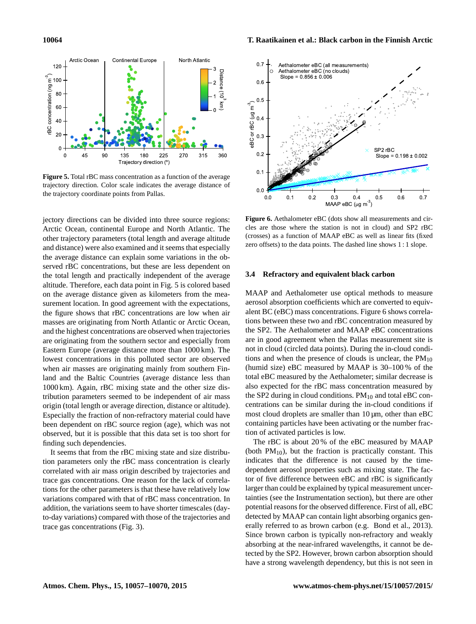<span id="page-7-1"></span>

**Figure 5.** Total rBC mass concentration as a function of the average trajectory direction. Color scale indicates the average distance of the trajectory coordinate points from Pallas.

jectory directions can be divided into three source regions: Arctic Ocean, continental Europe and North Atlantic. The other trajectory parameters (total length and average altitude and distance) were also examined and it seems that especially the average distance can explain some variations in the observed rBC concentrations, but these are less dependent on the total length and practically independent of the average altitude. Therefore, each data point in Fig. [5](#page-7-1) is colored based on the average distance given as kilometers from the measurement location. In good agreement with the expectations, the figure shows that rBC concentrations are low when air masses are originating from North Atlantic or Arctic Ocean, and the highest concentrations are observed when trajectories are originating from the southern sector and especially from Eastern Europe (average distance more than 1000 km). The lowest concentrations in this polluted sector are observed when air masses are originating mainly from southern Finland and the Baltic Countries (average distance less than 1000 km). Again, rBC mixing state and the other size distribution parameters seemed to be independent of air mass origin (total length or average direction, distance or altitude). Especially the fraction of non-refractory material could have been dependent on rBC source region (age), which was not observed, but it is possible that this data set is too short for finding such dependencies.

It seems that from the rBC mixing state and size distribution parameters only the rBC mass concentration is clearly correlated with air mass origin described by trajectories and trace gas concentrations. One reason for the lack of correlations for the other parameters is that these have relatively low variations compared with that of rBC mass concentration. In addition, the variations seem to have shorter timescales (dayto-day variations) compared with those of the trajectories and trace gas concentrations (Fig. [3\)](#page-5-0).

### **10064 T. Raatikainen et al.: Black carbon in the Finnish Arctic**

<span id="page-7-2"></span>

**Figure 6.** Aethalometer eBC (dots show all measurements and circles are those where the station is not in cloud) and SP2 rBC (crosses) as a function of MAAP eBC as well as linear fits (fixed zero offsets) to the data points. The dashed line shows 1 : 1 slope.

# <span id="page-7-0"></span>**3.4 Refractory and equivalent black carbon**

MAAP and Aethalometer use optical methods to measure aerosol absorption coefficients which are converted to equivalent BC (eBC) mass concentrations. Figure [6](#page-7-2) shows correlations between these two and rBC concentration measured by the SP2. The Aethalometer and MAAP eBC concentrations are in good agreement when the Pallas measurement site is not in cloud (circled data points). During the in-cloud conditions and when the presence of clouds is unclear, the  $PM_{10}$ (humid size) eBC measured by MAAP is 30–100 % of the total eBC measured by the Aethalometer; similar decrease is also expected for the rBC mass concentration measured by the SP2 during in cloud conditions.  $PM_{10}$  and total eBC concentrations can be similar during the in-cloud conditions if most cloud droplets are smaller than  $10 \mu m$ , other than eBC containing particles have been activating or the number fraction of activated particles is low.

The rBC is about 20 % of the eBC measured by MAAP (both  $PM_{10}$ ), but the fraction is practically constant. This indicates that the difference is not caused by the timedependent aerosol properties such as mixing state. The factor of five difference between eBC and rBC is significantly larger than could be explained by typical measurement uncertainties (see the Instrumentation section), but there are other potential reasons for the observed difference. First of all, eBC detected by MAAP can contain light absorbing organics generally referred to as brown carbon (e.g. [Bond et al.,](#page-10-0) [2013\)](#page-10-0). Since brown carbon is typically non-refractory and weakly absorbing at the near-infrared wavelengths, it cannot be detected by the SP2. However, brown carbon absorption should have a strong wavelength dependency, but this is not seen in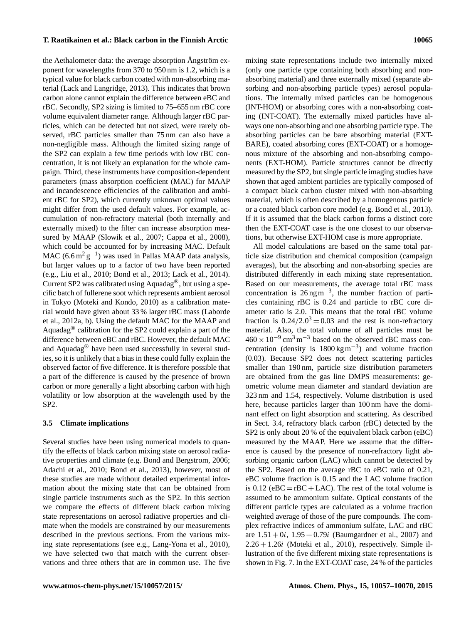the Aethalometer data: the average absorption Ångström exponent for wavelengths from 370 to 950 nm is 1.2, which is a typical value for black carbon coated with non-absorbing material [\(Lack and Langridge,](#page-11-20) [2013\)](#page-11-20). This indicates that brown carbon alone cannot explain the difference between eBC and rBC. Secondly, SP2 sizing is limited to 75–655 nm rBC core volume equivalent diameter range. Although larger rBC particles, which can be detected but not sized, were rarely observed, rBC particles smaller than 75 nm can also have a non-negligible mass. Although the limited sizing range of the SP2 can explain a few time periods with low rBC concentration, it is not likely an explanation for the whole campaign. Third, these instruments have composition-dependent parameters (mass absorption coefficient (MAC) for MAAP and incandescence efficiencies of the calibration and ambient rBC for SP2), which currently unknown optimal values might differ from the used default values. For example, accumulation of non-refractory material (both internally and externally mixed) to the filter can increase absorption measured by MAAP [\(Slowik et al.,](#page-13-10) [2007;](#page-13-10) [Cappa et al.,](#page-10-8) [2008\)](#page-10-8), which could be accounted for by increasing MAC. Default MAC  $(6.6 \,\mathrm{m}^2 \mathrm{g}^{-1})$  was used in Pallas MAAP data analysis, but larger values up to a factor of two have been reported (e.g., [Liu et al.,](#page-12-18) [2010;](#page-12-18) [Bond et al.,](#page-10-0) [2013;](#page-10-0) [Lack et al.,](#page-11-6) [2014\)](#page-11-6). Current SP2 was calibrated using Aquadag®, but using a specific batch of fullerene soot which represents ambient aerosol in Tokyo [\(Moteki and Kondo,](#page-12-11) [2010\)](#page-12-11) as a calibration material would have given about 33 % larger rBC mass [\(Laborde](#page-11-14) [et al.,](#page-11-14) [2012a,](#page-11-14) [b\)](#page-11-13). Using the default MAC for the MAAP and Aquadag® calibration for the SP2 could explain a part of the difference between eBC and rBC. However, the default MAC and Aquadag® have been used successfully in several studies, so it is unlikely that a bias in these could fully explain the observed factor of five difference. It is therefore possible that a part of the difference is caused by the presence of brown carbon or more generally a light absorbing carbon with high volatility or low absorption at the wavelength used by the SP2.

#### **3.5 Climate implications**

Several studies have been using numerical models to quantify the effects of black carbon mixing state on aerosol radiative properties and climate (e.g. [Bond and Bergstrom,](#page-10-9) [2006;](#page-10-9) [Adachi et al.,](#page-10-1) [2010;](#page-10-1) [Bond et al.,](#page-10-0) [2013\)](#page-10-0), however, most of these studies are made without detailed experimental information about the mixing state that can be obtained from single particle instruments such as the SP2. In this section we compare the effects of different black carbon mixing state representations on aerosol radiative properties and climate when the models are constrained by our measurements described in the previous sections. From the various mixing state representations (see e.g., [Lang-Yona et al.,](#page-11-21) [2010\)](#page-11-21), we have selected two that match with the current observations and three others that are in common use. The five mixing state representations include two internally mixed (only one particle type containing both absorbing and nonabsorbing material) and three externally mixed (separate absorbing and non-absorbing particle types) aerosol populations. The internally mixed particles can be homogenous (INT-HOM) or absorbing cores with a non-absorbing coating (INT-COAT). The externally mixed particles have always one non-absorbing and one absorbing particle type. The absorbing particles can be bare absorbing material (EXT-BARE), coated absorbing cores (EXT-COAT) or a homogenous mixture of the absorbing and non-absorbing components (EXT-HOM). Particle structures cannot be directly measured by the SP2, but single particle imaging studies have shown that aged ambient particles are typically composed of a compact black carbon cluster mixed with non-absorbing material, which is often described by a homogenous particle or a coated black carbon core model (e.g. [Bond et al.,](#page-10-0) [2013\)](#page-10-0). If it is assumed that the black carbon forms a distinct core then the EXT-COAT case is the one closest to our observations, but otherwise EXT-HOM case is more appropriate.

All model calculations are based on the same total particle size distribution and chemical composition (campaign averages), but the absorbing and non-absorbing species are distributed differently in each mixing state representation. Based on our measurements, the average total rBC mass concentration is  $26 \text{ ng m}^{-3}$ , the number fraction of particles containing rBC is 0.24 and particle to rBC core diameter ratio is 2.0. This means that the total rBC volume fraction is  $0.24/2.0^3 = 0.03$  and the rest is non-refractory material. Also, the total volume of all particles must be  $460 \times 10^{-9}$  cm<sup>3</sup> m<sup>-3</sup> based on the observed rBC mass concentration (density is  $1800 \text{ kg m}^{-3}$ ) and volume fraction (0.03). Because SP2 does not detect scattering particles smaller than 190 nm, particle size distribution parameters are obtained from the gas line DMPS measurements: geometric volume mean diameter and standard deviation are 323 nm and 1.54, respectively. Volume distribution is used here, because particles larger than 100 nm have the dominant effect on light absorption and scattering. As described in Sect. [3.4,](#page-7-0) refractory black carbon (rBC) detected by the SP2 is only about 20 % of the equivalent black carbon (eBC) measured by the MAAP. Here we assume that the difference is caused by the presence of non-refractory light absorbing organic carbon (LAC) which cannot be detected by the SP2. Based on the average rBC to eBC ratio of 0.21, eBC volume fraction is 0.15 and the LAC volume fraction is 0.12 ( $eBC = rBC + LAC$ ). The rest of the total volume is assumed to be ammonium sulfate. Optical constants of the different particle types are calculated as a volume fraction weighted average of those of the pure compounds. The complex refractive indices of ammonium sulfate, LAC and rBC are  $1.51 + 0i$ ,  $1.95 + 0.79i$  [\(Baumgardner et al.,](#page-10-7) [2007\)](#page-10-7) and  $2.26 + 1.26i$  [\(Moteki et al.,](#page-12-20) [2010\)](#page-12-20), respectively. Simple illustration of the five different mixing state representations is shown in Fig. [7.](#page-9-0) In the EXT-COAT case, 24 % of the particles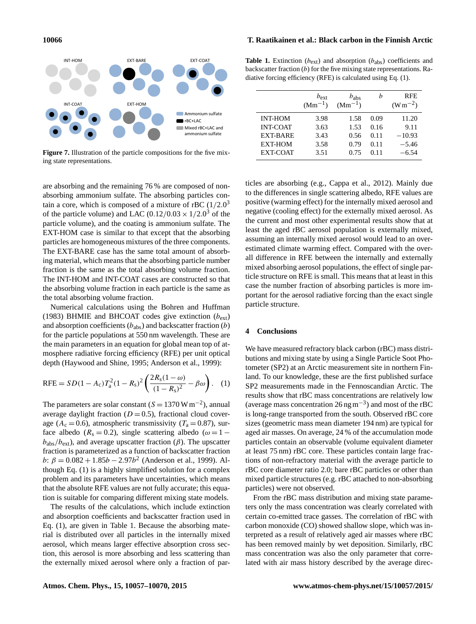<span id="page-9-0"></span>

**Figure 7.** Illustration of the particle compositions for the five mixing state representations.

are absorbing and the remaining 76 % are composed of nonabsorbing ammonium sulfate. The absorbing particles contain a core, which is composed of a mixture of rBC  $(1/2.0<sup>3</sup>)$ of the particle volume) and LAC  $(0.12/0.03 \times 1/2.0^3)$  of the particle volume), and the coating is ammonium sulfate. The EXT-HOM case is similar to that except that the absorbing particles are homogeneous mixtures of the three components. The EXT-BARE case has the same total amount of absorbing material, which means that the absorbing particle number fraction is the same as the total absorbing volume fraction. The INT-HOM and INT-COAT cases are constructed so that the absorbing volume fraction in each particle is the same as the total absorbing volume fraction.

Numerical calculations using the [Bohren and Huffman](#page-10-4) [\(1983\)](#page-10-4) BHMIE and BHCOAT codes give extinction  $(b_{\text{ext}})$ and absorption coefficients  $(b_{\text{abs}})$  and backscatter fraction  $(b)$ for the particle populations at 550 nm wavelength. These are the main parameters in an equation for global mean top of atmosphere radiative forcing efficiency (RFE) per unit optical depth [\(Haywood and Shine,](#page-11-22) [1995;](#page-11-22) [Anderson et al.,](#page-10-10) [1999\)](#page-10-10):

$$
RFE = SD(1 - A_c)T_a^2(1 - R_s)^2 \left(\frac{2R_s(1 - \omega)}{(1 - R_s)^2} - \beta \omega\right).
$$
 (1)

The parameters are solar constant  $(S = 1370 \,\mathrm{W m^{-2}})$ , annual average daylight fraction ( $D = 0.5$ ), fractional cloud coverage ( $A_c = 0.6$ ), atmospheric transmissivity ( $T_a = 0.87$ ), surface albedo ( $R_s = 0.2$ ), single scattering albedo ( $\omega = 1$  $b_{\text{abs}}/b_{\text{ext}}$ , and average upscatter fraction ( $\beta$ ). The upscatter fraction is parameterized as a function of backscatter fraction b:  $\beta = 0.082 + 1.85b - 2.97b^2$  [\(Anderson et al.,](#page-10-10) [1999\)](#page-10-10). Although Eq. [\(1\)](#page-9-1) is a highly simplified solution for a complex problem and its parameters have uncertainties, which means that the absolute RFE values are not fully accurate; this equation is suitable for comparing different mixing state models.

The results of the calculations, which include extinction and absorption coefficients and backscatter fraction used in Eq. [\(1\)](#page-9-1), are given in Table [1.](#page-9-2) Because the absorbing material is distributed over all particles in the internally mixed aerosol, which means larger effective absorption cross section, this aerosol is more absorbing and less scattering than the externally mixed aerosol where only a fraction of par-

<span id="page-9-2"></span>**Table 1.** Extinction ( $b_{\text{ext}}$ ) and absorption ( $b_{\text{abs}}$ ) coefficients and backscatter fraction  $(b)$  for the five mixing state representations. Radiative forcing efficiency (RFE) is calculated using Eq. [\(1\)](#page-9-1).

|                 | $b_{\rm ext}$<br>$(Mm^{-1})$ | $b_{\rm abs}$<br>$(Mm^{-1})$ | h    | <b>RFE</b><br>$(Wm^{-2})$ |
|-----------------|------------------------------|------------------------------|------|---------------------------|
| <b>INT-HOM</b>  | 3.98                         | 1.58                         | 0.09 | 11.20                     |
| <b>INT-COAT</b> | 3.63                         | 1.53                         | 0.16 | 9.11                      |
| <b>EXT-BARE</b> | 3.43                         | 0.56                         | 0.11 | $-10.93$                  |
| <b>EXT-HOM</b>  | 3.58                         | 0.79                         | 0.11 | $-5.46$                   |
| EXT-COAT        | 3.51                         | 0.75                         | O 11 | $-6.54$                   |

ticles are absorbing (e.g., [Cappa et al.,](#page-10-2) [2012\)](#page-10-2). Mainly due to the differences in single scattering albedo, RFE values are positive (warming effect) for the internally mixed aerosol and negative (cooling effect) for the externally mixed aerosol. As the current and most other experimental results show that at least the aged rBC aerosol population is externally mixed, assuming an internally mixed aerosol would lead to an overestimated climate warming effect. Compared with the overall difference in RFE between the internally and externally mixed absorbing aerosol populations, the effect of single particle structure on RFE is small. This means that at least in this case the number fraction of absorbing particles is more important for the aerosol radiative forcing than the exact single particle structure.

# **4 Conclusions**

<span id="page-9-1"></span>We have measured refractory black carbon (rBC) mass distributions and mixing state by using a Single Particle Soot Photometer (SP2) at an Arctic measurement site in northern Finland. To our knowledge, these are the first published surface SP2 measurements made in the Fennoscandian Arctic. The results show that rBC mass concentrations are relatively low (average mass concentration 26 ng m−<sup>3</sup> ) and most of the rBC is long-range transported from the south. Observed rBC core sizes (geometric mass mean diameter 194 nm) are typical for aged air masses. On average, 24 % of the accumulation mode particles contain an observable (volume equivalent diameter at least 75 nm) rBC core. These particles contain large fractions of non-refractory material with the average particle to rBC core diameter ratio 2.0; bare rBC particles or other than mixed particle structures (e.g. rBC attached to non-absorbing particles) were not observed.

From the rBC mass distribution and mixing state parameters only the mass concentration was clearly correlated with certain co-emitted trace gasses. The correlation of rBC with carbon monoxide (CO) showed shallow slope, which was interpreted as a result of relatively aged air masses where rBC has been removed mainly by wet deposition. Similarly, rBC mass concentration was also the only parameter that correlated with air mass history described by the average direc-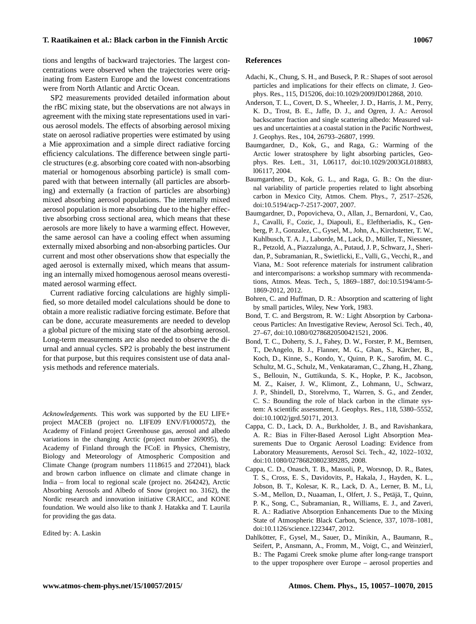tions and lengths of backward trajectories. The largest concentrations were observed when the trajectories were originating from Eastern Europe and the lowest concentrations were from North Atlantic and Arctic Ocean.

SP2 measurements provided detailed information about the rBC mixing state, but the observations are not always in agreement with the mixing state representations used in various aerosol models. The effects of absorbing aerosol mixing state on aerosol radiative properties were estimated by using a Mie approximation and a simple direct radiative forcing efficiency calculations. The difference between single particle structures (e.g. absorbing core coated with non-absorbing material or homogenous absorbing particle) is small compared with that between internally (all particles are absorbing) and externally (a fraction of particles are absorbing) mixed absorbing aerosol populations. The internally mixed aerosol population is more absorbing due to the higher effective absorbing cross sectional area, which means that these aerosols are more likely to have a warming effect. However, the same aerosol can have a cooling effect when assuming externally mixed absorbing and non-absorbing particles. Our current and most other observations show that especially the aged aerosol is externally mixed, which means that assuming an internally mixed homogenous aerosol means overestimated aerosol warming effect.

Current radiative forcing calculations are highly simplified, so more detailed model calculations should be done to obtain a more realistic radiative forcing estimate. Before that can be done, accurate measurements are needed to develop a global picture of the mixing state of the absorbing aerosol. Long-term measurements are also needed to observe the diurnal and annual cycles. SP2 is probably the best instrument for that purpose, but this requires consistent use of data analysis methods and reference materials.

*Acknowledgements.* This work was supported by the EU LIFE+ project MACEB (project no. LIFE09 ENV/FI/000572), the Academy of Finland project Greenhouse gas, aerosol and albedo variations in the changing Arctic (project number 269095), the Academy of Finland through the FCoE in Physics, Chemistry, Biology and Meteorology of Atmospheric Composition and Climate Change (program numbers 1118615 and 272041), black and brown carbon influence on climate and climate change in India – from local to regional scale (project no. 264242), Arctic Absorbing Aerosols and Albedo of Snow (project no. 3162), the Nordic research and innovation initiative CRAICC, and KONE foundation. We would also like to thank J. Hatakka and T. Laurila for providing the gas data.

Edited by: A. Laskin

#### **References**

- <span id="page-10-1"></span>Adachi, K., Chung, S. H., and Buseck, P. R.: Shapes of soot aerosol particles and implications for their effects on climate, J. Geophys. Res., 115, D15206, doi[:10.1029/2009JD012868,](http://dx.doi.org/10.1029/2009JD012868) 2010.
- <span id="page-10-10"></span>Anderson, T. L., Covert, D. S., Wheeler, J. D., Harris, J. M., Perry, K. D., Trost, B. E., Jaffe, D. J., and Ogren, J. A.: Aerosol backscatter fraction and single scattering albedo: Measured values and uncertainties at a coastal station in the Pacific Northwest, J. Geophys. Res., 104, 26793–26807, 1999.
- <span id="page-10-3"></span>Baumgardner, D., Kok, G., and Raga, G.: Warming of the Arctic lower stratosphere by light absorbing particles, Geophys. Res. Lett., 31, L06117, doi[:10.1029/2003GL018883,](http://dx.doi.org/10.1029/2003GL018883) l06117, 2004.
- <span id="page-10-7"></span>Baumgardner, D., Kok, G. L., and Raga, G. B.: On the diurnal variability of particle properties related to light absorbing carbon in Mexico City, Atmos. Chem. Phys., 7, 2517–2526, doi[:10.5194/acp-7-2517-2007,](http://dx.doi.org/10.5194/acp-7-2517-2007) 2007.
- <span id="page-10-5"></span>Baumgardner, D., Popovicheva, O., Allan, J., Bernardoni, V., Cao, J., Cavalli, F., Cozic, J., Diapouli, E., Eleftheriadis, K., Genberg, P. J., Gonzalez, C., Gysel, M., John, A., Kirchstetter, T. W., Kuhlbusch, T. A. J., Laborde, M., Lack, D., Müller, T., Niessner, R., Petzold, A., Piazzalunga, A., Putaud, J. P., Schwarz, J., Sheridan, P., Subramanian, R., Swietlicki, E., Valli, G., Vecchi, R., and Viana, M.: Soot reference materials for instrument calibration and intercomparisons: a workshop summary with recommendations, Atmos. Meas. Tech., 5, 1869–1887, doi[:10.5194/amt-5-](http://dx.doi.org/10.5194/amt-5-1869-2012) [1869-2012,](http://dx.doi.org/10.5194/amt-5-1869-2012) 2012.
- <span id="page-10-4"></span>Bohren, C. and Huffman, D. R.: Absorption and scattering of light by small particles, Wiley, New York, 1983.
- <span id="page-10-9"></span>Bond, T. C. and Bergstrom, R. W.: Light Absorption by Carbonaceous Particles: An Investigative Review, Aerosol Sci. Tech., 40, 27–67, doi[:10.1080/02786820500421521,](http://dx.doi.org/10.1080/02786820500421521) 2006.
- <span id="page-10-0"></span>Bond, T. C., Doherty, S. J., Fahey, D. W., Forster, P. M., Berntsen, T., DeAngelo, B. J., Flanner, M. G., Ghan, S., Kärcher, B., Koch, D., Kinne, S., Kondo, Y., Quinn, P. K., Sarofim, M. C., Schultz, M. G., Schulz, M., Venkataraman, C., Zhang, H., Zhang, S., Bellouin, N., Guttikunda, S. K., Hopke, P. K., Jacobson, M. Z., Kaiser, J. W., Klimont, Z., Lohmann, U., Schwarz, J. P., Shindell, D., Storelvmo, T., Warren, S. G., and Zender, C. S.: Bounding the role of black carbon in the climate system: A scientific assessment, J. Geophys. Res., 118, 5380–5552, doi[:10.1002/jgrd.50171,](http://dx.doi.org/10.1002/jgrd.50171) 2013.
- <span id="page-10-8"></span>Cappa, C. D., Lack, D. A., Burkholder, J. B., and Ravishankara, A. R.: Bias in Filter-Based Aerosol Light Absorption Measurements Due to Organic Aerosol Loading: Evidence from Laboratory Measurements, Aerosol Sci. Tech., 42, 1022–1032, doi[:10.1080/02786820802389285,](http://dx.doi.org/10.1080/02786820802389285) 2008.
- <span id="page-10-2"></span>Cappa, C. D., Onasch, T. B., Massoli, P., Worsnop, D. R., Bates, T. S., Cross, E. S., Davidovits, P., Hakala, J., Hayden, K. L., Jobson, B. T., Kolesar, K. R., Lack, D. A., Lerner, B. M., Li, S.-M., Mellon, D., Nuaaman, I., Olfert, J. S., Petäjä, T., Quinn, P. K., Song, C., Subramanian, R., Williams, E. J., and Zaveri, R. A.: Radiative Absorption Enhancements Due to the Mixing State of Atmospheric Black Carbon, Science, 337, 1078–1081, doi[:10.1126/science.1223447,](http://dx.doi.org/10.1126/science.1223447) 2012.
- <span id="page-10-6"></span>Dahlkötter, F., Gysel, M., Sauer, D., Minikin, A., Baumann, R., Seifert, P., Ansmann, A., Fromm, M., Voigt, C., and Weinzierl, B.: The Pagami Creek smoke plume after long-range transport to the upper troposphere over Europe – aerosol properties and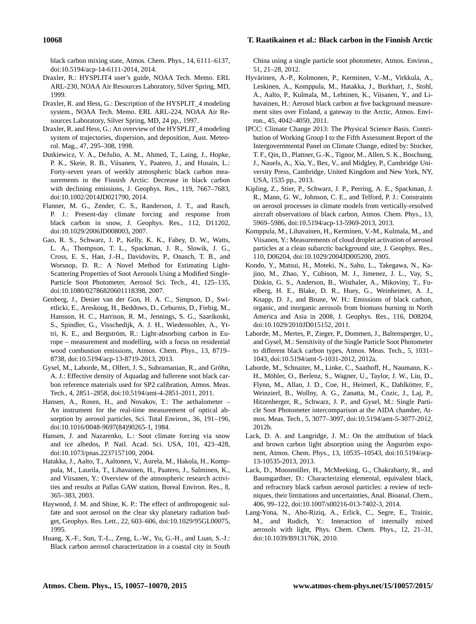black carbon mixing state, Atmos. Chem. Phys., 14, 6111–6137, doi[:10.5194/acp-14-6111-2014,](http://dx.doi.org/10.5194/acp-14-6111-2014) 2014.

- <span id="page-11-17"></span>Draxler, R.: HYSPLIT4 user's guide, NOAA Tech. Memo. ERL ARL-230, NOAA Air Resources Laboratory, Silver Spring, MD, 1999.
- <span id="page-11-15"></span>Draxler, R. and Hess, G.: Description of the HYSPLIT\_4 modeling system., NOAA Tech. Memo. ERL ARL-224, NOAA Air Resources Laboratory, Silver Spring, MD, 24 pp., 1997.
- <span id="page-11-16"></span>Draxler, R. and Hess, G.: An overview of the HYSPLIT\_4 modeling system of trajectories, dispersion, and deposition, Aust. Meteorol. Mag., 47, 295–308, 1998.
- <span id="page-11-5"></span>Dutkiewicz, V. A., DeJulio, A. M., Ahmed, T., Laing, J., Hopke, P. K., Skeie, R. B., Viisanen, Y., Paatero, J., and Husain, L.: Forty-seven years of weekly atmospheric black carbon measurements in the Finnish Arctic: Decrease in black carbon with declining emissions, J. Geophys. Res., 119, 7667–7683, doi[:10.1002/2014JD021790,](http://dx.doi.org/10.1002/2014JD021790) 2014.
- <span id="page-11-2"></span>Flanner, M. G., Zender, C. S., Randerson, J. T., and Rasch, P. J.: Present-day climate forcing and response from black carbon in snow, J. Geophys. Res., 112, D11202, doi[:10.1029/2006JD008003,](http://dx.doi.org/10.1029/2006JD008003) 2007.
- <span id="page-11-12"></span>Gao, R. S., Schwarz, J. P., Kelly, K. K., Fahey, D. W., Watts, L. A., Thompson, T. L., Spackman, J. R., Slowik, J. G., Cross, E. S., Han, J.-H., Davidovits, P., Onasch, T. B., and Worsnop, D. R.: A Novel Method for Estimating Light-Scattering Properties of Soot Aerosols Using a Modified Single-Particle Soot Photometer, Aerosol Sci. Tech., 41, 125–135, doi[:10.1080/02786820601118398,](http://dx.doi.org/10.1080/02786820601118398) 2007.
- <span id="page-11-4"></span>Genberg, J., Denier van der Gon, H. A. C., Simpson, D., Swietlicki, E., Areskoug, H., Beddows, D., Ceburnis, D., Fiebig, M., Hansson, H. C., Harrison, R. M., Jennings, S. G., Saarikoski, S., Spindler, G., Visschedijk, A. J. H., Wiedensohler, A., Yttri, K. E., and Bergström, R.: Light-absorbing carbon in Europe – measurement and modelling, with a focus on residential wood combustion emissions, Atmos. Chem. Phys., 13, 8719– 8738, doi[:10.5194/acp-13-8719-2013,](http://dx.doi.org/10.5194/acp-13-8719-2013) 2013.
- <span id="page-11-11"></span>Gysel, M., Laborde, M., Olfert, J. S., Subramanian, R., and Gröhn, A. J.: Effective density of Aquadag and fullerene soot black carbon reference materials used for SP2 calibration, Atmos. Meas. Tech., 4, 2851–2858, doi[:10.5194/amt-4-2851-2011,](http://dx.doi.org/10.5194/amt-4-2851-2011) 2011.
- <span id="page-11-10"></span>Hansen, A., Rosen, H., and Novakov, T.: The aethalometer – An instrument for the real-time measurement of optical absorption by aerosol particles, Sci. Total Environ., 36, 191–196, doi[:10.1016/0048-9697\(84\)90265-1,](http://dx.doi.org/10.1016/0048-9697(84)90265-1) 1984.
- <span id="page-11-1"></span>Hansen, J. and Nazarenko, L.: Soot climate forcing via snow and ice albedos, P. Natl. Acad. Sci. USA, 101, 423–428, doi[:10.1073/pnas.2237157100,](http://dx.doi.org/10.1073/pnas.2237157100) 2004.
- <span id="page-11-8"></span>Hatakka, J., Aalto, T., Aaltonen, V., Aurela, M., Hakola, H., Komppula, M., Laurila, T., Lihavainen, H., Paatero, J., Salminen, K., and Viisanen, Y.: Overview of the atmospheric research activities and results at Pallas GAW station, Boreal Environ. Res., 8, 365–383, 2003.
- <span id="page-11-22"></span>Haywood, J. M. and Shine, K. P.: The effect of anthropogenic sulfate and soot aerosol on the clear sky planetary radiation budget, Geophys. Res. Lett., 22, 603–606, doi[:10.1029/95GL00075,](http://dx.doi.org/10.1029/95GL00075) 1995.
- <span id="page-11-18"></span>Huang, X.-F., Sun, T.-L., Zeng, L.-W., Yu, G.-H., and Luan, S.-J.: Black carbon aerosol characterization in a coastal city in South

China using a single particle soot photometer, Atmos. Environ., 51, 21–28, 2012.

- <span id="page-11-7"></span>Hyvärinen, A.-P., Kolmonen, P., Kerminen, V.-M., Virkkula, A., Leskinen, A., Komppula, M., Hatakka, J., Burkhart, J., Stohl, A., Aalto, P., Kulmala, M., Lehtinen, K., Viisanen, Y., and Lihavainen, H.: Aerosol black carbon at five background measurement sites over Finland, a gateway to the Arctic, Atmos. Environ., 45, 4042–4050, 2011.
- <span id="page-11-0"></span>IPCC: Climate Change 2013: The Physical Science Basis. Contribution of Working Group I to the Fifth Assessment Report of the Intergovernmental Panel on Climate Change, edited by: Stocker, T. F., Qin, D., Plattner, G.-K., Tignor, M., Allen, S. K., Boschung, J., Nauels, A., Xia, Y., Bex, V., and Midgley, P., Cambridge University Press, Cambridge, United Kingdom and New York, NY, USA, 1535 pp., 2013.
- <span id="page-11-3"></span>Kipling, Z., Stier, P., Schwarz, J. P., Perring, A. E., Spackman, J. R., Mann, G. W., Johnson, C. E., and Telford, P. J.: Constraints on aerosol processes in climate models from vertically-resolved aircraft observations of black carbon, Atmos. Chem. Phys., 13, 5969–5986, doi[:10.5194/acp-13-5969-2013,](http://dx.doi.org/10.5194/acp-13-5969-2013) 2013.
- <span id="page-11-9"></span>Komppula, M., Lihavainen, H., Kerminen, V.-M., Kulmala, M., and Viisanen, Y.: Measurements of cloud droplet activation of aerosol particles at a clean subarctic background site, J. Geophys. Res., 110, D06204, doi[:10.1029/2004JD005200,](http://dx.doi.org/10.1029/2004JD005200) 2005.
- <span id="page-11-19"></span>Kondo, Y., Matsui, H., Moteki, N., Sahu, L., Takegawa, N., Kajino, M., Zhao, Y., Cubison, M. J., Jimenez, J. L., Vay, S., Diskin, G. S., Anderson, B., Wisthaler, A., Mikoviny, T., Fuelberg, H. E., Blake, D. R., Huey, G., Weinheimer, A. J., Knapp, D. J., and Brune, W. H.: Emissions of black carbon, organic, and inorganic aerosols from biomass burning in North America and Asia in 2008, J. Geophys. Res., 116, D08204, doi[:10.1029/2010JD015152,](http://dx.doi.org/10.1029/2010JD015152) 2011.
- <span id="page-11-14"></span>Laborde, M., Mertes, P., Zieger, P., Dommen, J., Baltensperger, U., and Gysel, M.: Sensitivity of the Single Particle Soot Photometer to different black carbon types, Atmos. Meas. Tech., 5, 1031– 1043, doi[:10.5194/amt-5-1031-2012,](http://dx.doi.org/10.5194/amt-5-1031-2012) 2012a.
- <span id="page-11-13"></span>Laborde, M., Schnaiter, M., Linke, C., Saathoff, H., Naumann, K.- H., Möhler, O., Berlenz, S., Wagner, U., Taylor, J. W., Liu, D., Flynn, M., Allan, J. D., Coe, H., Heimerl, K., Dahlkötter, F., Weinzierl, B., Wollny, A. G., Zanatta, M., Cozic, J., Laj, P., Hitzenberger, R., Schwarz, J. P., and Gysel, M.: Single Particle Soot Photometer intercomparison at the AIDA chamber, Atmos. Meas. Tech., 5, 3077–3097, doi[:10.5194/amt-5-3077-2012,](http://dx.doi.org/10.5194/amt-5-3077-2012) 2012b.
- <span id="page-11-20"></span>Lack, D. A. and Langridge, J. M.: On the attribution of black and brown carbon light absorption using the Ångström exponent, Atmos. Chem. Phys., 13, 10535–10543, doi[:10.5194/acp-](http://dx.doi.org/10.5194/acp-13-10535-2013)[13-10535-2013,](http://dx.doi.org/10.5194/acp-13-10535-2013) 2013.
- <span id="page-11-6"></span>Lack, D., Moosmüller, H., McMeeking, G., Chakrabarty, R., and Baumgardner, D.: Characterizing elemental, equivalent black, and refractory black carbon aerosol particles: a review of techniques, their limitations and uncertainties, Anal. Bioanal. Chem., 406, 99–122, doi[:10.1007/s00216-013-7402-3,](http://dx.doi.org/10.1007/s00216-013-7402-3) 2014.
- <span id="page-11-21"></span>Lang-Yona, N., Abo-Riziq, A., Erlick, C., Segre, E., Trainic, M., and Rudich, Y.: Interaction of internally mixed aerosols with light, Phys. Chem. Chem. Phys., 12, 21–31, doi[:10.1039/B913176K,](http://dx.doi.org/10.1039/B913176K) 2010.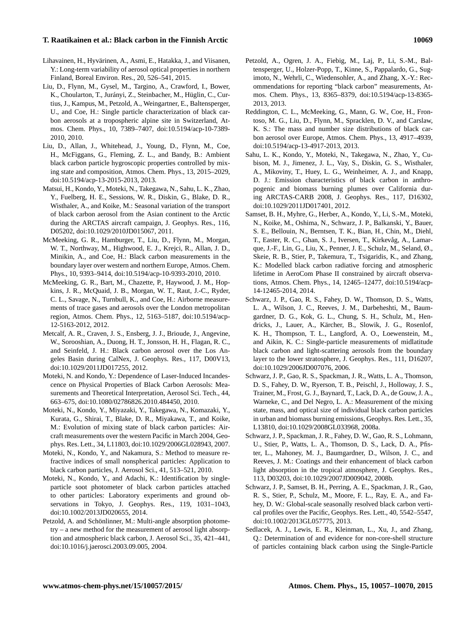- <span id="page-12-8"></span>Lihavainen, H., Hyvärinen, A., Asmi, E., Hatakka, J., and Viisanen, Y.: Long-term variability of aerosol optical properties in northern Finland, Boreal Environ. Res., 20, 526–541, 2015.
- <span id="page-12-18"></span>Liu, D., Flynn, M., Gysel, M., Targino, A., Crawford, I., Bower, K., Choularton, T., Jurányi, Z., Steinbacher, M., Hüglin, C., Curtius, J., Kampus, M., Petzold, A., Weingartner, E., Baltensperger, U., and Coe, H.: Single particle characterization of black carbon aerosols at a tropospheric alpine site in Switzerland, Atmos. Chem. Phys., 10, 7389–7407, doi[:10.5194/acp-10-7389-](http://dx.doi.org/10.5194/acp-10-7389-2010) [2010,](http://dx.doi.org/10.5194/acp-10-7389-2010) 2010.
- <span id="page-12-5"></span>Liu, D., Allan, J., Whitehead, J., Young, D., Flynn, M., Coe, H., McFiggans, G., Fleming, Z. L., and Bandy, B.: Ambient black carbon particle hygroscopic properties controlled by mixing state and composition, Atmos. Chem. Phys., 13, 2015–2029, doi[:10.5194/acp-13-2015-2013,](http://dx.doi.org/10.5194/acp-13-2015-2013) 2013.
- <span id="page-12-19"></span>Matsui, H., Kondo, Y., Moteki, N., Takegawa, N., Sahu, L. K., Zhao, Y., Fuelberg, H. E., Sessions, W. R., Diskin, G., Blake, D. R., Wisthaler, A., and Koike, M.: Seasonal variation of the transport of black carbon aerosol from the Asian continent to the Arctic during the ARCTAS aircraft campaign, J. Geophys. Res., 116, D05202, doi[:10.1029/2010JD015067,](http://dx.doi.org/10.1029/2010JD015067) 2011.
- <span id="page-12-12"></span>McMeeking, G. R., Hamburger, T., Liu, D., Flynn, M., Morgan, W. T., Northway, M., Highwood, E. J., Krejci, R., Allan, J. D., Minikin, A., and Coe, H.: Black carbon measurements in the boundary layer over western and northern Europe, Atmos. Chem. Phys., 10, 9393–9414, doi[:10.5194/acp-10-9393-2010,](http://dx.doi.org/10.5194/acp-10-9393-2010) 2010.
- <span id="page-12-17"></span>McMeeking, G. R., Bart, M., Chazette, P., Haywood, J. M., Hopkins, J. R., McQuaid, J. B., Morgan, W. T., Raut, J.-C., Ryder, C. L., Savage, N., Turnbull, K., and Coe, H.: Airborne measurements of trace gases and aerosols over the London metropolitan region, Atmos. Chem. Phys., 12, 5163–5187, doi[:10.5194/acp-](http://dx.doi.org/10.5194/acp-12-5163-2012)[12-5163-2012,](http://dx.doi.org/10.5194/acp-12-5163-2012) 2012.
- <span id="page-12-10"></span>Metcalf, A. R., Craven, J. S., Ensberg, J. J., Brioude, J., Angevine, W., Sorooshian, A., Duong, H. T., Jonsson, H. H., Flagan, R. C., and Seinfeld, J. H.: Black carbon aerosol over the Los Angeles Basin during CalNex, J. Geophys. Res., 117, D00V13, doi[:10.1029/2011JD017255,](http://dx.doi.org/10.1029/2011JD017255) 2012.
- <span id="page-12-11"></span>Moteki, N. and Kondo, Y.: Dependence of Laser-Induced Incandescence on Physical Properties of Black Carbon Aerosols: Measurements and Theoretical Interpretation, Aerosol Sci. Tech., 44, 663–675, doi[:10.1080/02786826.2010.484450,](http://dx.doi.org/10.1080/02786826.2010.484450) 2010.
- <span id="page-12-7"></span>Moteki, N., Kondo, Y., Miyazaki, Y., Takegawa, N., Komazaki, Y., Kurata, G., Shirai, T., Blake, D. R., Miyakawa, T., and Koike, M.: Evolution of mixing state of black carbon particles: Aircraft measurements over the western Pacific in March 2004, Geophys. Res. Lett., 34, L11803, doi[:10.1029/2006GL028943,](http://dx.doi.org/10.1029/2006GL028943) 2007.
- <span id="page-12-20"></span>Moteki, N., Kondo, Y., and Nakamura, S.: Method to measure refractive indices of small nonspherical particles: Application to black carbon particles, J. Aerosol Sci., 41, 513–521, 2010.
- <span id="page-12-16"></span>Moteki, N., Kondo, Y., and Adachi, K.: Identification by singleparticle soot photometer of black carbon particles attached to other particles: Laboratory experiments and ground observations in Tokyo, J. Geophys. Res., 119, 1031–1043, doi[:10.1002/2013JD020655,](http://dx.doi.org/10.1002/2013JD020655) 2014.
- <span id="page-12-9"></span>Petzold, A. and Schönlinner, M.: Multi-angle absorption photometry – a new method for the measurement of aerosol light absorption and atmospheric black carbon, J. Aerosol Sci., 35, 421–441, doi[:10.1016/j.jaerosci.2003.09.005,](http://dx.doi.org/10.1016/j.jaerosci.2003.09.005) 2004.
- <span id="page-12-0"></span>Petzold, A., Ogren, J. A., Fiebig, M., Laj, P., Li, S.-M., Baltensperger, U., Holzer-Popp, T., Kinne, S., Pappalardo, G., Sugimoto, N., Wehrli, C., Wiedensohler, A., and Zhang, X.-Y.: Recommendations for reporting "black carbon" measurements, Atmos. Chem. Phys., 13, 8365–8379, doi[:10.5194/acp-13-8365-](http://dx.doi.org/10.5194/acp-13-8365-2013) [2013,](http://dx.doi.org/10.5194/acp-13-8365-2013) 2013.
- <span id="page-12-1"></span>Reddington, C. L., McMeeking, G., Mann, G. W., Coe, H., Frontoso, M. G., Liu, D., Flynn, M., Spracklen, D. V., and Carslaw, K. S.: The mass and number size distributions of black carbon aerosol over Europe, Atmos. Chem. Phys., 13, 4917–4939, doi[:10.5194/acp-13-4917-2013,](http://dx.doi.org/10.5194/acp-13-4917-2013) 2013.
- <span id="page-12-14"></span>Sahu, L. K., Kondo, Y., Moteki, N., Takegawa, N., Zhao, Y., Cubison, M. J., Jimenez, J. L., Vay, S., Diskin, G. S., Wisthaler, A., Mikoviny, T., Huey, L. G., Weinheimer, A. J., and Knapp, D. J.: Emission characteristics of black carbon in anthropogenic and biomass burning plumes over California during ARCTAS-CARB 2008, J. Geophys. Res., 117, D16302, doi[:10.1029/2011JD017401,](http://dx.doi.org/10.1029/2011JD017401) 2012.
- <span id="page-12-3"></span>Samset, B. H., Myhre, G., Herber, A., Kondo, Y., Li, S.-M., Moteki, N., Koike, M., Oshima, N., Schwarz, J. P., Balkanski, Y., Bauer, S. E., Bellouin, N., Berntsen, T. K., Bian, H., Chin, M., Diehl, T., Easter, R. C., Ghan, S. J., Iversen, T., Kirkevåg, A., Lamarque, J.-F., Lin, G., Liu, X., Penner, J. E., Schulz, M., Seland, Ø., Skeie, R. B., Stier, P., Takemura, T., Tsigaridis, K., and Zhang, K.: Modelled black carbon radiative forcing and atmospheric lifetime in AeroCom Phase II constrained by aircraft observations, Atmos. Chem. Phys., 14, 12465–12477, doi[:10.5194/acp-](http://dx.doi.org/10.5194/acp-14-12465-2014)[14-12465-2014,](http://dx.doi.org/10.5194/acp-14-12465-2014) 2014.
- <span id="page-12-6"></span>Schwarz, J. P., Gao, R. S., Fahey, D. W., Thomson, D. S., Watts, L. A., Wilson, J. C., Reeves, J. M., Darbeheshti, M., Baumgardner, D. G., Kok, G. L., Chung, S. H., Schulz, M., Hendricks, J., Lauer, A., Kärcher, B., Slowik, J. G., Rosenlof, K. H., Thompson, T. L., Langford, A. O., Loewenstein, M., and Aikin, K. C.: Single-particle measurements of midlatitude black carbon and light-scattering aerosols from the boundary layer to the lower stratosphere, J. Geophys. Res., 111, D16207, doi[:10.1029/2006JD007076,](http://dx.doi.org/10.1029/2006JD007076) 2006.
- <span id="page-12-13"></span>Schwarz, J. P., Gao, R. S., Spackman, J. R., Watts, L. A., Thomson, D. S., Fahey, D. W., Ryerson, T. B., Peischl, J., Holloway, J. S., Trainer, M., Frost, G. J., Baynard, T., Lack, D. A., de Gouw, J. A., Warneke, C., and Del Negro, L. A.: Measurement of the mixing state, mass, and optical size of individual black carbon particles in urban and biomass burning emissions, Geophys. Res. Lett., 35, L13810, doi[:10.1029/2008GL033968,](http://dx.doi.org/10.1029/2008GL033968) 2008a.
- <span id="page-12-4"></span>Schwarz, J. P., Spackman, J. R., Fahey, D. W., Gao, R. S., Lohmann, U., Stier, P., Watts, L. A., Thomson, D. S., Lack, D. A., Pfister, L., Mahoney, M. J., Baumgardner, D., Wilson, J. C., and Reeves, J. M.: Coatings and their enhancement of black carbon light absorption in the tropical atmosphere, J. Geophys. Res., 113, D03203, doi[:10.1029/2007JD009042,](http://dx.doi.org/10.1029/2007JD009042) 2008b.
- <span id="page-12-2"></span>Schwarz, J. P., Samset, B. H., Perring, A. E., Spackman, J. R., Gao, R. S., Stier, P., Schulz, M., Moore, F. L., Ray, E. A., and Fahey, D. W.: Global-scale seasonally resolved black carbon vertical profiles over the Pacific, Geophys. Res. Lett., 40, 5542–5547, doi[:10.1002/2013GL057775,](http://dx.doi.org/10.1002/2013GL057775) 2013.
- <span id="page-12-15"></span>Sedlacek, A. J., Lewis, E. R., Kleinman, L., Xu, J., and Zhang, Q.: Determination of and evidence for non-core-shell structure of particles containing black carbon using the Single-Particle